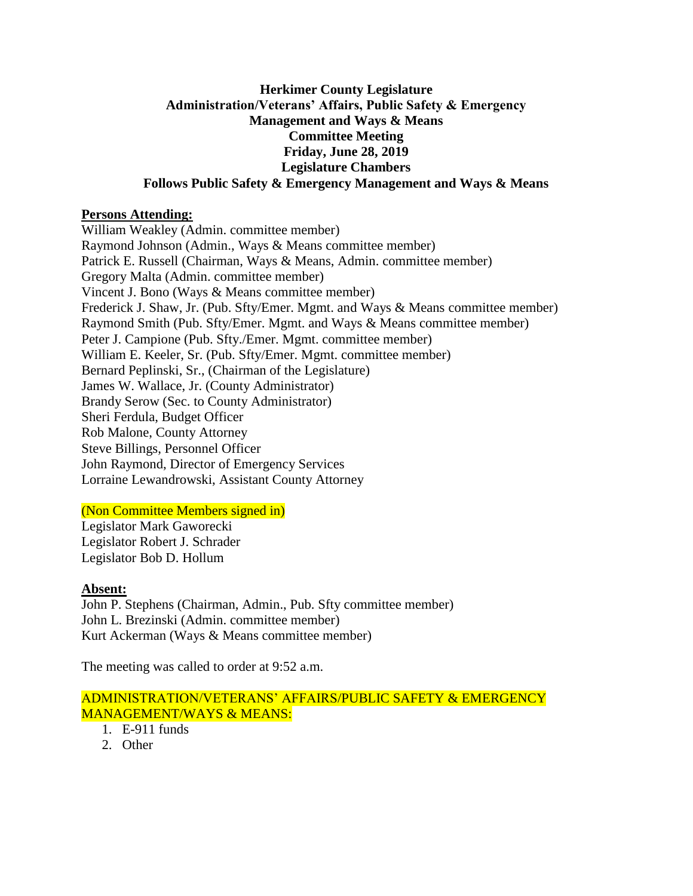# **Herkimer County Legislature Administration/Veterans' Affairs, Public Safety & Emergency Management and Ways & Means Committee Meeting Friday, June 28, 2019 Legislature Chambers Follows Public Safety & Emergency Management and Ways & Means**

### **Persons Attending:**

William Weakley (Admin. committee member) Raymond Johnson (Admin., Ways & Means committee member) Patrick E. Russell (Chairman, Ways & Means, Admin. committee member) Gregory Malta (Admin. committee member) Vincent J. Bono (Ways & Means committee member) Frederick J. Shaw, Jr. (Pub. Sfty/Emer. Mgmt. and Ways & Means committee member) Raymond Smith (Pub. Sfty/Emer. Mgmt. and Ways & Means committee member) Peter J. Campione (Pub. Sfty./Emer. Mgmt. committee member) William E. Keeler, Sr. (Pub. Sfty/Emer. Mgmt. committee member) Bernard Peplinski, Sr., (Chairman of the Legislature) James W. Wallace, Jr. (County Administrator) Brandy Serow (Sec. to County Administrator) Sheri Ferdula, Budget Officer Rob Malone, County Attorney Steve Billings, Personnel Officer John Raymond, Director of Emergency Services Lorraine Lewandrowski, Assistant County Attorney

## (Non Committee Members signed in)

Legislator Mark Gaworecki Legislator Robert J. Schrader Legislator Bob D. Hollum

#### **Absent:**

John P. Stephens (Chairman, Admin., Pub. Sfty committee member) John L. Brezinski (Admin. committee member) Kurt Ackerman (Ways & Means committee member)

The meeting was called to order at 9:52 a.m.

## ADMINISTRATION/VETERANS' AFFAIRS/PUBLIC SAFETY & EMERGENCY MANAGEMENT/WAYS & MEANS:

- 1. E-911 funds
- 2. Other